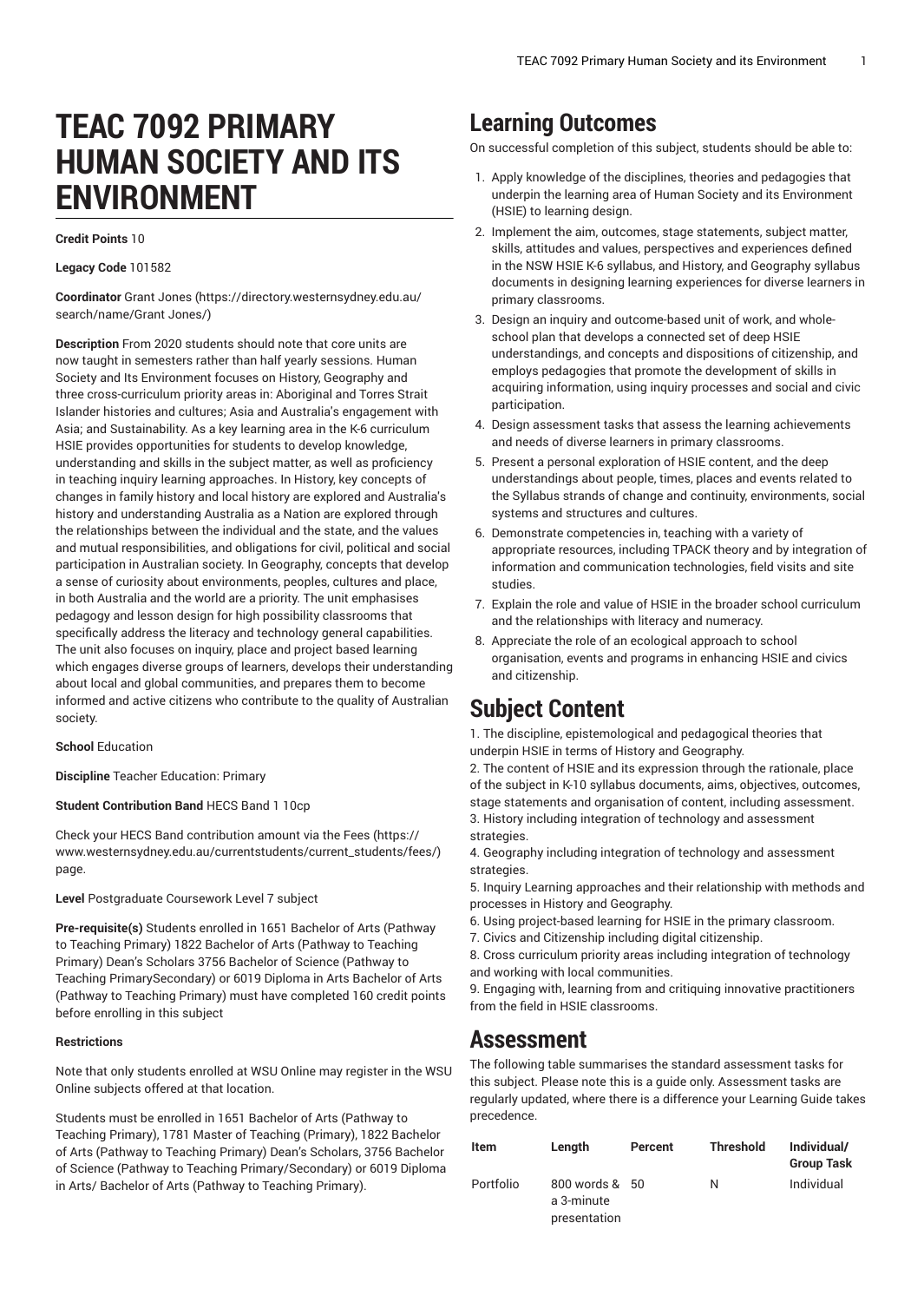# **TEAC 7092 PRIMARY HUMAN SOCIETY AND ITS ENVIRONMENT**

**Credit Points** 10

**Legacy Code** 101582

**Coordinator** [Grant Jones](https://directory.westernsydney.edu.au/search/name/Grant Jones/) ([https://directory.westernsydney.edu.au/](https://directory.westernsydney.edu.au/search/name/Grant Jones/) [search/name/Grant](https://directory.westernsydney.edu.au/search/name/Grant Jones/) Jones/)

**Description** From 2020 students should note that core units are now taught in semesters rather than half yearly sessions. Human Society and Its Environment focuses on History, Geography and three cross-curriculum priority areas in: Aboriginal and Torres Strait Islander histories and cultures; Asia and Australia's engagement with Asia; and Sustainability. As a key learning area in the K-6 curriculum HSIE provides opportunities for students to develop knowledge, understanding and skills in the subject matter, as well as proficiency in teaching inquiry learning approaches. In History, key concepts of changes in family history and local history are explored and Australia's history and understanding Australia as a Nation are explored through the relationships between the individual and the state, and the values and mutual responsibilities, and obligations for civil, political and social participation in Australian society. In Geography, concepts that develop a sense of curiosity about environments, peoples, cultures and place, in both Australia and the world are a priority. The unit emphasises pedagogy and lesson design for high possibility classrooms that specifically address the literacy and technology general capabilities. The unit also focuses on inquiry, place and project based learning which engages diverse groups of learners, develops their understanding about local and global communities, and prepares them to become informed and active citizens who contribute to the quality of Australian society.

**School** Education

**Discipline** Teacher Education: Primary

#### **Student Contribution Band** HECS Band 1 10cp

Check your HECS Band contribution amount via the [Fees \(https://](https://www.westernsydney.edu.au/currentstudents/current_students/fees/) [www.westernsydney.edu.au/currentstudents/current\\_students/fees/\)](https://www.westernsydney.edu.au/currentstudents/current_students/fees/) page.

**Level** Postgraduate Coursework Level 7 subject

**Pre-requisite(s)** Students enrolled in 1651 Bachelor of Arts (Pathway to Teaching Primary) 1822 Bachelor of Arts (Pathway to Teaching Primary) Dean's Scholars 3756 Bachelor of Science (Pathway to Teaching PrimarySecondary) or 6019 Diploma in Arts Bachelor of Arts (Pathway to Teaching Primary) must have completed 160 credit points before enrolling in this subject

#### **Restrictions**

Note that only students enrolled at WSU Online may register in the WSU Online subjects offered at that location.

Students must be enrolled in 1651 Bachelor of Arts (Pathway to Teaching Primary), 1781 Master of Teaching (Primary), 1822 Bachelor of Arts (Pathway to Teaching Primary) Dean's Scholars, 3756 Bachelor of Science (Pathway to Teaching Primary/Secondary) or 6019 Diploma in Arts/ Bachelor of Arts (Pathway to Teaching Primary).

## **Learning Outcomes**

On successful completion of this subject, students should be able to:

- 1. Apply knowledge of the disciplines, theories and pedagogies that underpin the learning area of Human Society and its Environment (HSIE) to learning design.
- 2. Implement the aim, outcomes, stage statements, subject matter, skills, attitudes and values, perspectives and experiences defined in the NSW HSIE K-6 syllabus, and History, and Geography syllabus documents in designing learning experiences for diverse learners in primary classrooms.
- 3. Design an inquiry and outcome-based unit of work, and wholeschool plan that develops a connected set of deep HSIE understandings, and concepts and dispositions of citizenship, and employs pedagogies that promote the development of skills in acquiring information, using inquiry processes and social and civic participation.
- 4. Design assessment tasks that assess the learning achievements and needs of diverse learners in primary classrooms.
- 5. Present a personal exploration of HSIE content, and the deep understandings about people, times, places and events related to the Syllabus strands of change and continuity, environments, social systems and structures and cultures.
- 6. Demonstrate competencies in, teaching with a variety of appropriate resources, including TPACK theory and by integration of information and communication technologies, field visits and site studies.
- 7. Explain the role and value of HSIE in the broader school curriculum and the relationships with literacy and numeracy.
- 8. Appreciate the role of an ecological approach to school organisation, events and programs in enhancing HSIE and civics and citizenship.

## **Subject Content**

1. The discipline, epistemological and pedagogical theories that underpin HSIE in terms of History and Geography.

2. The content of HSIE and its expression through the rationale, place of the subject in K-10 syllabus documents, aims, objectives, outcomes, stage statements and organisation of content, including assessment. 3. History including integration of technology and assessment strategies.

4. Geography including integration of technology and assessment strategies.

5. Inquiry Learning approaches and their relationship with methods and processes in History and Geography.

- 6. Using project-based learning for HSIE in the primary classroom.
- 7. Civics and Citizenship including digital citizenship.
- 8. Cross curriculum priority areas including integration of technology and working with local communities.

9. Engaging with, learning from and critiquing innovative practitioners from the field in HSIE classrooms.

## **Assessment**

The following table summarises the standard assessment tasks for this subject. Please note this is a guide only. Assessment tasks are regularly updated, where there is a difference your Learning Guide takes precedence.

| Item      | Length                                       | Percent | <b>Threshold</b> | Individual/<br><b>Group Task</b> |
|-----------|----------------------------------------------|---------|------------------|----------------------------------|
| Portfolio | 800 words & 50<br>a 3-minute<br>presentation |         | N                | Individual                       |